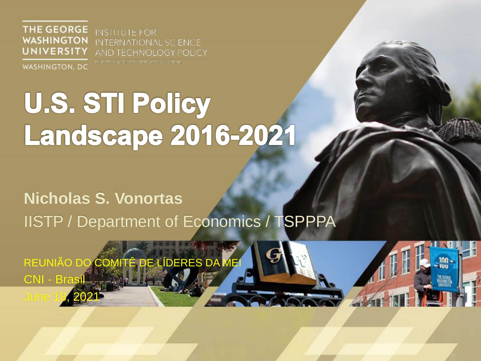**THE GEORGE WASHINGTON UNIVERSITY** 

**INSTITUTE FOR INTERNATIONAL SCIENCE AND TECHNOLOGY POLICY** 

**WASHINGTON, DC** 

ELLIOTT SCHOOL OF INTERNATIONAL AFFAIRS.

# U.S. STI Policy **Landscape 2016-2021**

### **Nicholas S. Vonortas**

IISTP / Department of Economics / TSPPPA

REUNIÃO DO COMITÊ DE LÍDERES DA MEI CNI - Bra June 18, 2021

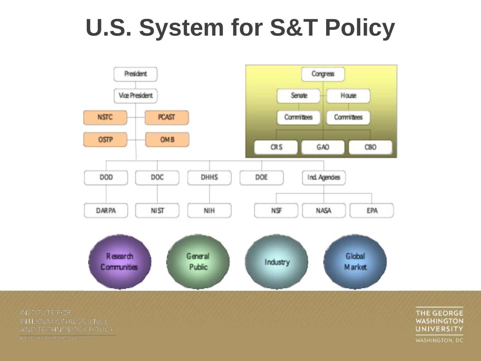### **U.S. System for S&T Policy**



**INSTITUTE FOR** INTERNATIONAL SCIENCE AND TECHNOLOGY POLICY ELTOTT SCHOOL OF INTERNATIONAL AT A 32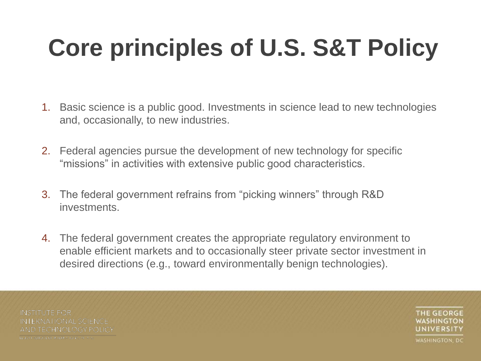# **Core principles of U.S. S&T Policy**

- 1. Basic science is a public good. Investments in science lead to new technologies and, occasionally, to new industries.
- 2. Federal agencies pursue the development of new technology for specific "missions" in activities with extensive public good characteristics.
- 3. The federal government refrains from "picking winners" through R&D investments.
- 4. The federal government creates the appropriate regulatory environment to enable efficient markets and to occasionally steer private sector investment in desired directions (e.g., toward environmentally benign technologies).

**INSTITUTE FOR INTERNATIONAL SCIENCE** AND TECHNOLOGY POLICY LEIOITSCHOTECHNIERN 1014, ALARA

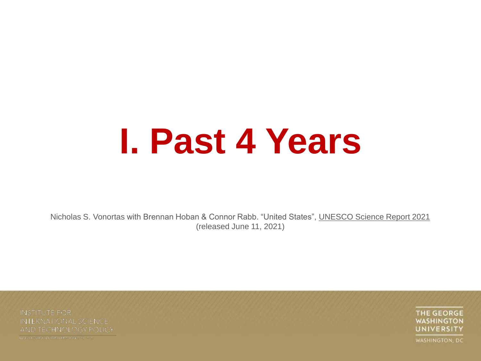# **I. Past 4 Years**

Nicholas S. Vonortas with Brennan Hoban & Connor Rabb. "United States", UNESCO Science Report 2021 (released June 11, 2021)

**INSTITUTE FOR** INTERNATIONAL SCIENCE AND TECHNOLOGY POLICY LEIOIT SCHOOL OF INTERNATIONAL ALLA RE-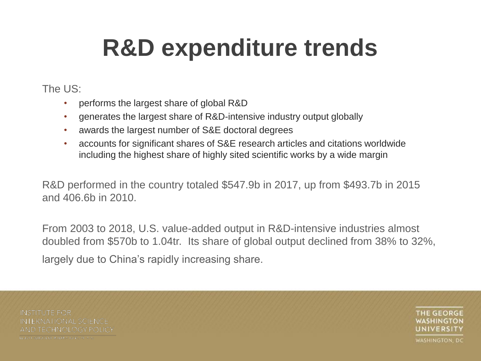### **R&D expenditure trends**

#### The US:

- performs the largest share of global R&D
- generates the largest share of R&D-intensive industry output globally
- awards the largest number of S&E doctoral degrees
- accounts for significant shares of S&E research articles and citations worldwide including the highest share of highly sited scientific works by a wide margin

R&D performed in the country totaled \$547.9b in 2017, up from \$493.7b in 2015 and 406.6b in 2010.

From 2003 to 2018, U.S. value-added output in R&D-intensive industries almost doubled from \$570b to 1.04tr. Its share of global output declined from 38% to 32%, largely due to China's rapidly increasing share.

**INSTITUTE FOR INTERNATIONAL SCIENCE** AND TECHNOLOGY POLICY LEIOITSCHOTECHNIERN 1014, ALARA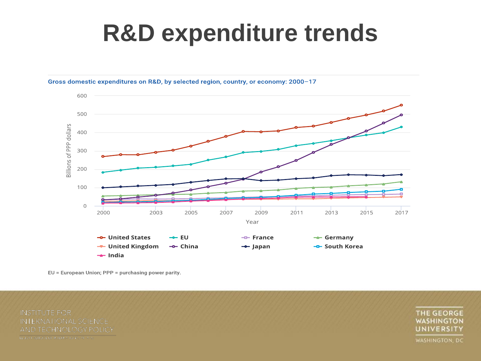### **R&D expenditure trends**



Gross domestic expenditures on R&D, by selected region, country, or economy: 2000-17

EU = European Union; PPP = purchasing power parity.

**INSTITUTE FOR** INTERNATIONAL SCIENCE AND TECHNOLOGY POLICY ELIOIT SCHOOL OF INTERNATIONAL ALASE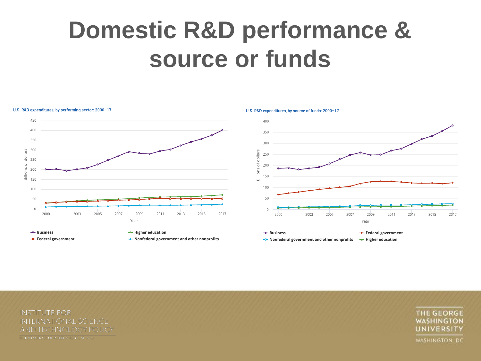### **Domestic R&D performance & source or funds**



AND TECHNOLOGY POLICY LEICH SCHOTL OF INTERNATIONAL ALASE

**INTERNATIONAL SCIENCE** 

**INSTITUTE FOR**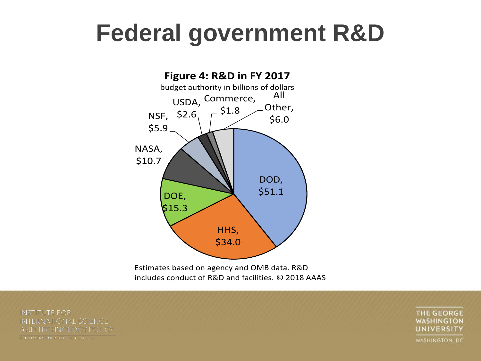#### changes by agency (Figure 3). Beginning leral governmen: **Federal government R&D**



Estimates based on agency and OMB data. R&D includes conduct of R&D and facilities. © 2018 AAAS

**INSTITUTE FOR INTERNATIONAL SCIENCE** AND TECHNOLOGY POLICY LEICH SCHOTL OF INTERNATIONAL ALC:

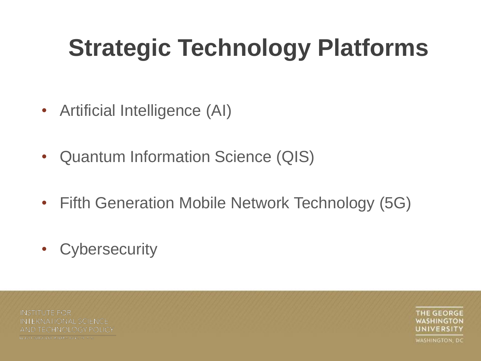# **Strategic Technology Platforms**

- Artificial Intelligence (AI)
- Quantum Information Science (QIS)
- Fifth Generation Mobile Network Technology (5G)
- Cybersecurity

**INSTITUTE FOR INTERNATIONAL SCIENCE** AND TECHNOLOGY POLICY LEICH SCHOTL OF INTERNATIONAL ALC:

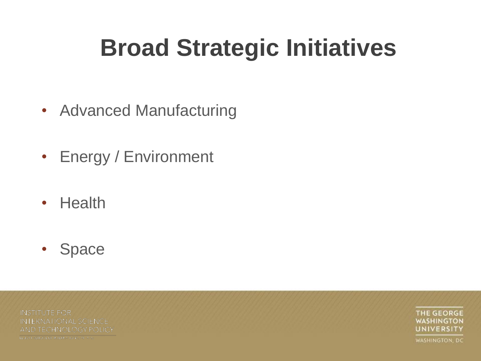### **Broad Strategic Initiatives**

- Advanced Manufacturing
- Energy / Environment
- Health
- Space

**INSTITUTE FOR** INTERNATIONAL SCIENCE AND TECHNOLOGY POLICY LEIOIT SCHOZEGI INTERNATORALAI IA 62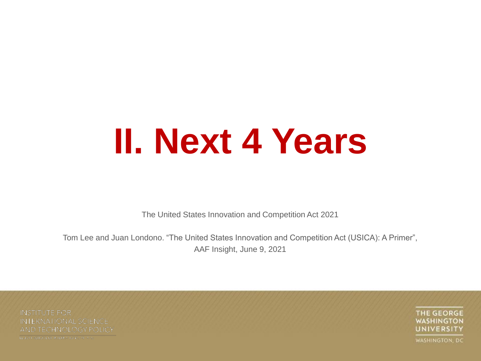# **II. Next 4 Years**

The United States Innovation and Competition Act 2021

Tom Lee and Juan Londono. "The United States Innovation and Competition Act (USICA): A Primer", AAF Insight, June 9, 2021

**INSTITUTE FOR** INTERNATIONAL SCIENCE AND TECHNOLOGY POLICY LEIOIT SCHOOL OF INTERNATIONAL ALASE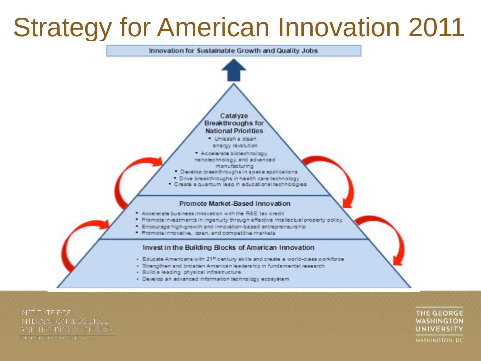### Strategy for American Innovation 2011



**INSTITUTE FOR** INTERNATIONAL SCIENCE AND TECHNOLOGY POLICY LEIOIT SCHOOL OF INTERNATIONAL ALASE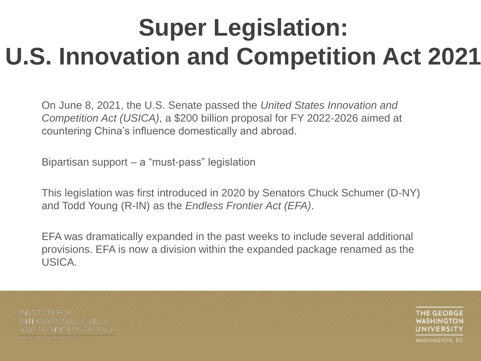On June 8, 2021, the U.S. Senate passed the *United States Innovation and Competition Act (USICA)*, a \$200 billion proposal for FY 2022-2026 aimed at countering China's influence domestically and abroad.

Bipartisan support – a "must-pass" legislation

This legislation was first introduced in 2020 by Senators Chuck Schumer (D-NY) and Todd Young (R-IN) as the *Endless Frontier Act (EFA)*.

EFA was dramatically expanded in the past weeks to include several additional provisions. EFA is now a division within the expanded package renamed as the USICA.

**INSTITUTE FOR INTERNATIONAL SCIENCE** AND TECHNOLOGY POLICY LEIOTH SCHOOL OF INTERNATIONAL AT A 32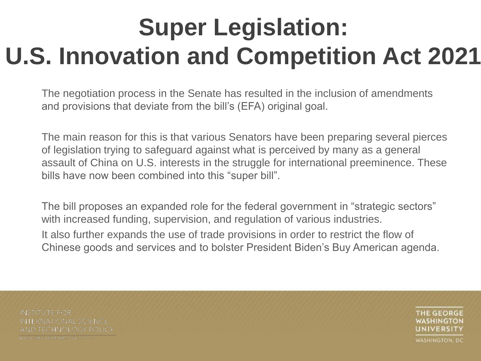The negotiation process in the Senate has resulted in the inclusion of amendments and provisions that deviate from the bill's (EFA) original goal.

The main reason for this is that various Senators have been preparing several pierces of legislation trying to safeguard against what is perceived by many as a general assault of China on U.S. interests in the struggle for international preeminence. These bills have now been combined into this "super bill".

The bill proposes an expanded role for the federal government in "strategic sectors" with increased funding, supervision, and regulation of various industries. It also further expands the use of trade provisions in order to restrict the flow of Chinese goods and services and to bolster President Biden's Buy American agenda.

**INSTITUTE FOR INTERNATIONAL SCIENCE** AND TECHNOLOGY POLICY LEIOTH SCHOOL OF INTERNATIONAL AT A 32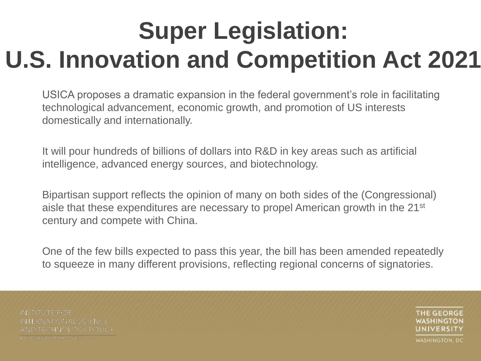USICA proposes a dramatic expansion in the federal government's role in facilitating technological advancement, economic growth, and promotion of US interests domestically and internationally.

It will pour hundreds of billions of dollars into R&D in key areas such as artificial intelligence, advanced energy sources, and biotechnology.

Bipartisan support reflects the opinion of many on both sides of the (Congressional) aisle that these expenditures are necessary to propel American growth in the 21<sup>st</sup> century and compete with China.

One of the few bills expected to pass this year, the bill has been amended repeatedly to squeeze in many different provisions, reflecting regional concerns of signatories.

**INSTITUTE FOR INTERNATIONAL SCIENCE** AND TECHNOLOGY POLICY LEIOTH SCHOOL OF INTERNATIONAL AT A 32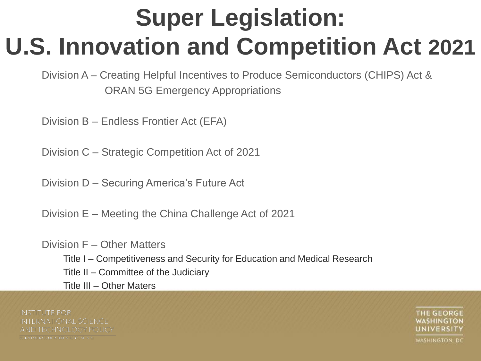Division A – Creating Helpful Incentives to Produce Semiconductors (CHIPS) Act & ORAN 5G Emergency Appropriations

Division B – Endless Frontier Act (EFA)

Division C – Strategic Competition Act of 2021

Division D – Securing America's Future Act

Division E – Meeting the China Challenge Act of 2021

Division F – Other Matters Title I – Competitiveness and Security for Education and Medical Research Title II – Committee of the Judiciary Title III – Other Maters

**INSTITUTE FOR INTERNATIONAL SCIENCE** AND TECHNOLOGY POLICY LEIOITSCHOTECHNIERN 1014, ALARA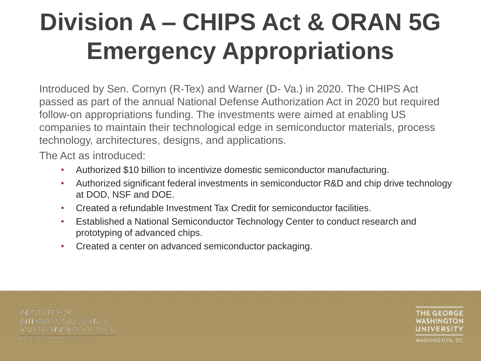## **Division A – CHIPS Act & ORAN 5G Emergency Appropriations**

Introduced by Sen. Cornyn (R-Tex) and Warner (D- Va.) in 2020. The CHIPS Act passed as part of the annual National Defense Authorization Act in 2020 but required follow-on appropriations funding. The investments were aimed at enabling US companies to maintain their technological edge in semiconductor materials, process technology, architectures, designs, and applications.

The Act as introduced:

- Authorized \$10 billion to incentivize domestic semiconductor manufacturing.
- Authorized significant federal investments in semiconductor R&D and chip drive technology at DOD, NSF and DOE.
- Created a refundable Investment Tax Credit for semiconductor facilities.
- Established a National Semiconductor Technology Center to conduct research and prototyping of advanced chips.
- Created a center on advanced semiconductor packaging.

**INSTITUTE FOR INTERNATIONAL SCIENCE** AND TECHNOLOGY POLICY LEIGH SCHOOL OF INTERNATIONAL ALC: 2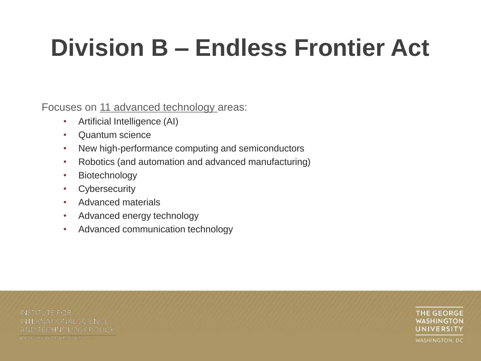# **Division B – Endless Frontier Act**

Focuses on 11 advanced technology areas:

- Artificial Intelligence (AI)
- Quantum science
- New high-performance computing and semiconductors
- Robotics (and automation and advanced manufacturing)
- Biotechnology
- Cybersecurity
- Advanced materials
- Advanced energy technology
- Advanced communication technology

**INSTITUTE FOR INTERNATIONAL SCIENCE** AND TECHNOLOGY POLICY LEIGH SCHOOL OF INTERNATIONAL ALC: 2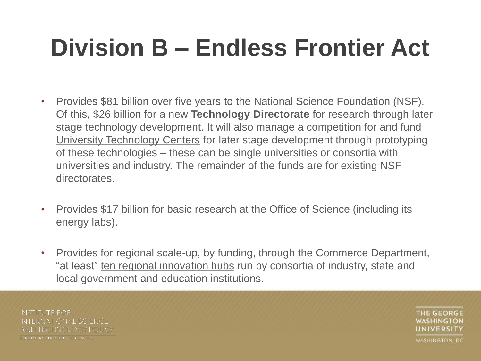## **Division B – Endless Frontier Act**

- Provides \$81 billion over five years to the National Science Foundation (NSF). Of this, \$26 billion for a new **Technology Directorate** for research through later stage technology development. It will also manage a competition for and fund University Technology Centers for later stage development through prototyping of these technologies – these can be single universities or consortia with universities and industry. The remainder of the funds are for existing NSF directorates.
- Provides \$17 billion for basic research at the Office of Science (including its energy labs).
- Provides for regional scale-up, by funding, through the Commerce Department, "at least" ten regional innovation hubs run by consortia of industry, state and local government and education institutions.

**INSTITUTE FOR INTERNATIONAL SCIENCE** AND TECHNOLOGY POLICY LEIOTH SCHOOL OF INTERNATIONAL AT A 32

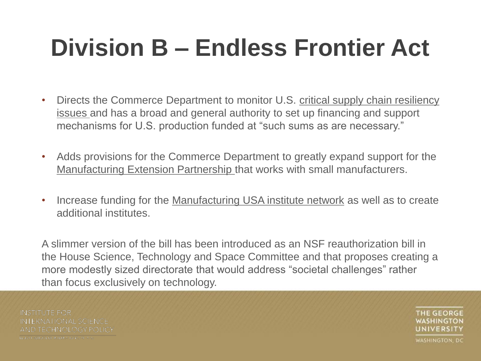## **Division B – Endless Frontier Act**

- Directs the Commerce Department to monitor U.S. critical supply chain resiliency issues and has a broad and general authority to set up financing and support mechanisms for U.S. production funded at "such sums as are necessary."
- Adds provisions for the Commerce Department to greatly expand support for the Manufacturing Extension Partnership that works with small manufacturers.
- Increase funding for the Manufacturing USA institute network as well as to create additional institutes.

A slimmer version of the bill has been introduced as an NSF reauthorization bill in the House Science, Technology and Space Committee and that proposes creating a more modestly sized directorate that would address "societal challenges" rather than focus exclusively on technology.

**INSTITUTE FOR INTERNATIONAL SCIENCE** AND TECHNOLOGY POLICY LEIOITSCHOTECHNIERN 1014, ALARA

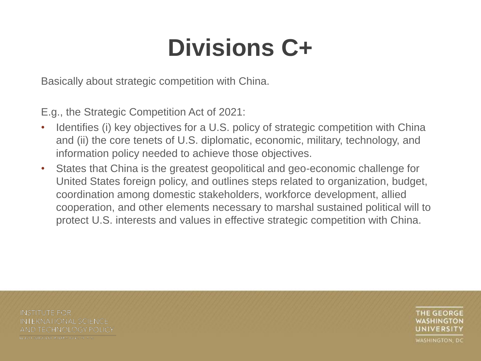### **Divisions C+**

Basically about strategic competition with China.

E.g., the Strategic Competition Act of 2021:

- Identifies (i) key objectives for a U.S. policy of strategic competition with China and (ii) the core tenets of U.S. diplomatic, economic, military, technology, and information policy needed to achieve those objectives.
- States that China is the greatest geopolitical and geo-economic challenge for United States foreign policy, and outlines steps related to organization, budget, coordination among domestic stakeholders, workforce development, allied cooperation, and other elements necessary to marshal sustained political will to protect U.S. interests and values in effective strategic competition with China.

**INSTITUTE FOR INTERNATIONAL SCIENCE** AND TECHNOLOGY POLICY LEIOTH SCHOOL OF INTERNATIONAL AT A 32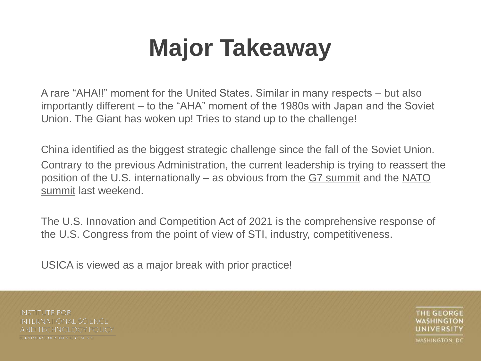### **Major Takeaway**

A rare "AHA!!" moment for the United States. Similar in many respects – but also importantly different – to the "AHA" moment of the 1980s with Japan and the Soviet Union. The Giant has woken up! Tries to stand up to the challenge!

China identified as the biggest strategic challenge since the fall of the Soviet Union. Contrary to the previous Administration, the current leadership is trying to reassert the position of the U.S. internationally – as obvious from the G7 summit and the NATO summit last weekend.

The U.S. Innovation and Competition Act of 2021 is the comprehensive response of the U.S. Congress from the point of view of STI, industry, competitiveness.

USICA is viewed as a major break with prior practice!

**INSTITUTE FOR INTERNATIONAL SCIENCE** AND TECHNOLOGY POLICY LEIOTH CHOCLOTIK ILRUSTOREAL ARE